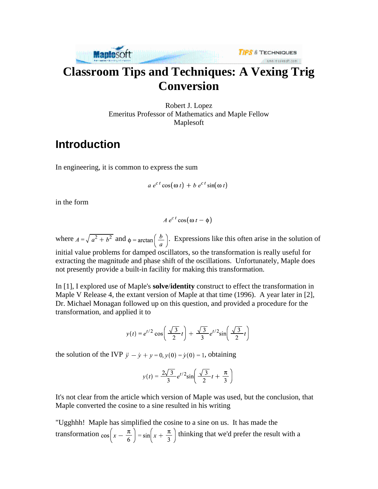

# **Classroom Tips and Techniques: A Vexing Trig Conversion**

Robert J. Lopez Emeritus Professor of Mathematics and Maple Fellow Maplesoft

### **Introduction**

In engineering, it is common to express the sum

$$
a e^{ct} \cos(\omega t) + b e^{ct} \sin(\omega t)
$$

in the form

$$
A e^{ct} \cos(\omega t - \phi)
$$

where  $A = \sqrt{a^2 + b^2}$  and  $\phi = \arctan\left(\frac{b}{a}\right)$ . Expressions like this often arise in the solution of initial value problems for damped oscillators, so the transformation is really useful for extracting the magnitude and phase shift of the oscillations. Unfortunately, Maple does not presently provide a built-in facility for making this transformation.

In [1], I explored use of Maple's **solve**/**identity** construct to effect the transformation in Maple V Release 4, the extant version of Maple at that time (1996). A year later in [2], Dr. Michael Monagan followed up on this question, and provided a procedure for the transformation, and applied it to

$$
y(t) = e^{t/2} \cos\left(\frac{\sqrt{3}}{2}t\right) + \frac{\sqrt{3}}{3} e^{t/2} \sin\left(\frac{\sqrt{3}}{2}t\right)
$$

the solution of the IVP  $\ddot{y} - \dot{y} + y = 0$ ,  $y(0) = \dot{y}(0) = 1$ , obtaining

$$
y(t) = \frac{2\sqrt{3}}{3}e^{t/2}\sin\left(\frac{\sqrt{3}}{2}t + \frac{\pi}{3}\right)
$$

It's not clear from the article which version of Maple was used, but the conclusion, that Maple converted the cosine to a sine resulted in his writing

"Ugghhh! Maple has simplified the cosine to a sine on us. It has made the transformation  $\cos\left(x-\frac{\pi}{6}\right) = \sin\left(x+\frac{\pi}{3}\right)$  thinking that we'd prefer the result with a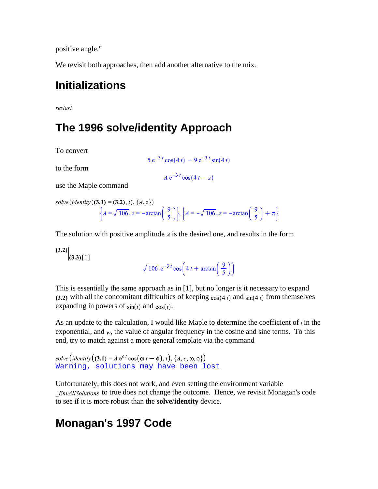positive angle."

We revisit both approaches, then add another alternative to the mix.

### **Initializations**

restart

### **The 1996 solve/identity Approach**

To convert

to the form

$$
A e^{-3t} \cos(4t - z)
$$

 $5e^{-3t}\cos(4t) - 9e^{-3t}\sin(4t)$ 

use the Maple command

solve (identity ((3.1) = (3.2), *t*), {*A*, *z*})  
\n
$$
\left\{ A = \sqrt{106}, z = -\arctan\left(\frac{9}{5}\right) \right\}, \left\{ A = -\sqrt{106}, z = -\arctan\left(\frac{9}{5}\right) + \pi \right\}
$$

The solution with positive amplitude  $\Lambda$  is the desired one, and results in the form

 $(3.2)$   $(3.3)$  [1]

$$
\sqrt{106} e^{-3t} \cos\left(4t + \arctan\left(\frac{9}{5}\right)\right)
$$

This is essentially the same approach as in [1], but no longer is it necessary to expand (3.2) with all the concomitant difficulties of keeping  $cos(4 t)$  and  $sin(4 t)$  from themselves expanding in powers of  $sin(t)$  and  $cos(t)$ .

As an update to the calculation, I would like Maple to determine the coefficient of  $\iota$  in the exponential, and  $w$ , the value of angular frequency in the cosine and sine terms. To this end, try to match against a more general template via the command

```
solve (identity ((3.1) = A e^{ct} \cos(\omega t - \phi), t), \{A, c, \omega, \phi\})Warning, solutions may have been lost
```
Unfortunately, this does not work, and even setting the environment variable EnvAllSolutions to true does not change the outcome. Hence, we revisit Monagan's code to see if it is more robust than the **solve**/**identity** device.

### **Monagan's 1997 Code**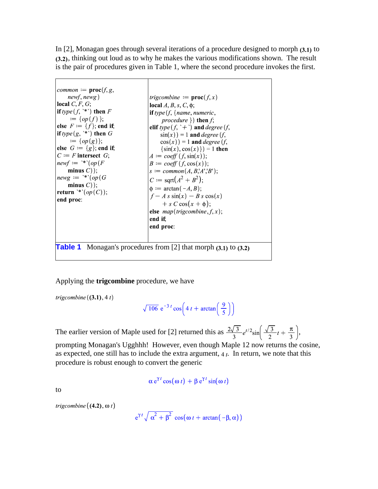In  $[2]$ , Monagan goes through several iterations of a procedure designed to morph  $(3.1)$  to (3.2), thinking out loud as to why he makes the various modifications shown. The result is the pair of procedures given in Table 1, where the second procedure invokes the first.



#### Applying the **trigcombine** procedure, we have

trigcombine  $((3.1), 4t)$ 

$$
\sqrt{106} \ e^{-3t} \cos\left(4t + \arctan\left(\frac{9}{5}\right)\right)
$$

The earlier version of Maple used for [2] returned this as  $\frac{2\sqrt{3}}{3}e^{t/2}\sin\left(\frac{\sqrt{3}}{2}t+\frac{\pi}{3}\right)$ ,

prompting Monagan's Ugghhh! However, even though Maple 12 now returns the cosine, as expected, one still has to include the extra argument,  $4t$ . In return, we note that this procedure is robust enough to convert the generic

$$
\alpha e^{\gamma t} \cos(\omega t) + \beta e^{\gamma t} \sin(\omega t)
$$

to

$$
trigcombine((4.2), \omega t)
$$

$$
e^{\gamma t} \sqrt{\alpha^2 + \beta^2} \cos(\omega t + \arctan(-\beta, \alpha))
$$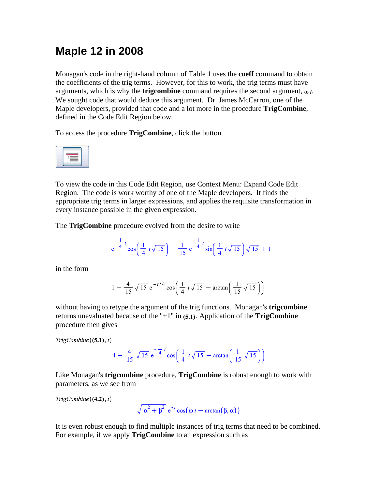## **Maple 12 in 2008**

Monagan's code in the right-hand column of Table 1 uses the **coeff** command to obtain the coefficients of the trig terms. However, for this to work, the trig terms must have arguments, which is why the **trigcombine** command requires the second argument,  $\omega t$ . We sought code that would deduce this argument. Dr. James McCarron, one of the Maple developers, provided that code and a lot more in the procedure **TrigCombine**, defined in the Code Edit Region below.

To access the procedure **TrigCombine**, click the button



To view the code in this Code Edit Region, use Context Menu: Expand Code Edit Region. The code is work worthy of one of the Maple developers. It finds the appropriate trig terms in larger expressions, and applies the requisite transformation in every instance possible in the given expression.

The **TrigCombine** procedure evolved from the desire to write

$$
-e^{-\frac{1}{4}t}\cos\left(\frac{1}{4}t\sqrt{15}\right)-\frac{1}{15}e^{-\frac{1}{4}t}\sin\left(\frac{1}{4}t\sqrt{15}\right)\sqrt{15}+1
$$

in the form

$$
1 - \frac{4}{15} \sqrt{15} e^{-t/4} \cos\left(\frac{1}{4} t \sqrt{15} - \arctan\left(\frac{1}{15} \sqrt{15}\right)\right)
$$

without having to retype the argument of the trig functions. Monagan's **trigcombine** returns unevaluated because of the " $+1$ " in  $(5.1)$ . Application of the **TrigCombine** procedure then gives

$$
TrigCombine\left( (5.1),t\right)
$$

$$
1 - \frac{4}{15} \sqrt{15} e^{-\frac{1}{4}t} \cos\left(\frac{1}{4}t \sqrt{15} - \arctan\left(\frac{1}{15} \sqrt{15}\right)\right)
$$

Like Monagan's **trigcombine** procedure, **TrigCombine** is robust enough to work with parameters, as we see from

 $TrigCombine((4.2), t)$ 

$$
\sqrt{\alpha^2 + \beta^2} e^{\gamma t} \cos(\omega t - \arctan(\beta, \alpha))
$$

It is even robust enough to find multiple instances of trig terms that need to be combined. For example, if we apply **TrigCombine** to an expression such as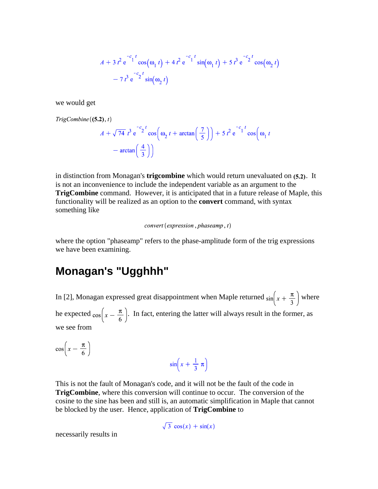$$
A + 3 t2 e-c1t cos(\omega1 t) + 4 t2 e-c1t sin(\omega1 t) + 5 t3 e-c2t cos(\omega2 t)- 7 t3 e-c2t sin(\omega2 t)
$$

we would get

 $TrigCombine((5.2), t)$ 

$$
A + \sqrt{74} t^3 e^{-c_2 t} \cos\left(\omega_2 t + \arctan\left(\frac{7}{5}\right)\right) + 5 t^2 e^{-c_1 t} \cos\left(\omega_1 t - \arctan\left(\frac{4}{3}\right)\right)
$$

in distinction from Monagan's **trigcombine** which would return unevaluated on (5.2). It is not an inconvenience to include the independent variable as an argument to the **TrigCombine** command. However, it is anticipated that in a future release of Maple, this functionality will be realized as an option to the **convert** command, with syntax something like

#### $convert$  (expression, phaseamp, t)

where the option "phaseamp" refers to the phase-amplitude form of the trig expressions we have been examining.

### **Monagan's "Ugghhh"**

In [2], Monagan expressed great disappointment when Maple returned  $\sin\left(x + \frac{\pi}{3}\right)$  where he expected  $\cos\left(x-\frac{\pi}{6}\right)$ . In fact, entering the latter will always result in the former, as we see from

 $\cos\left(x-\frac{\pi}{6}\right)$ 

$$
\sin\left(x + \frac{1}{3} \pi\right)
$$

This is not the fault of Monagan's code, and it will not be the fault of the code in **TrigCombine**, where this conversion will continue to occur. The conversion of the cosine to the sine has been and still is, an automatic simplification in Maple that cannot be blocked by the user. Hence, application of **TrigCombine** to

$$
\sqrt{3}\,\cos(x)+\sin(x)
$$

necessarily results in